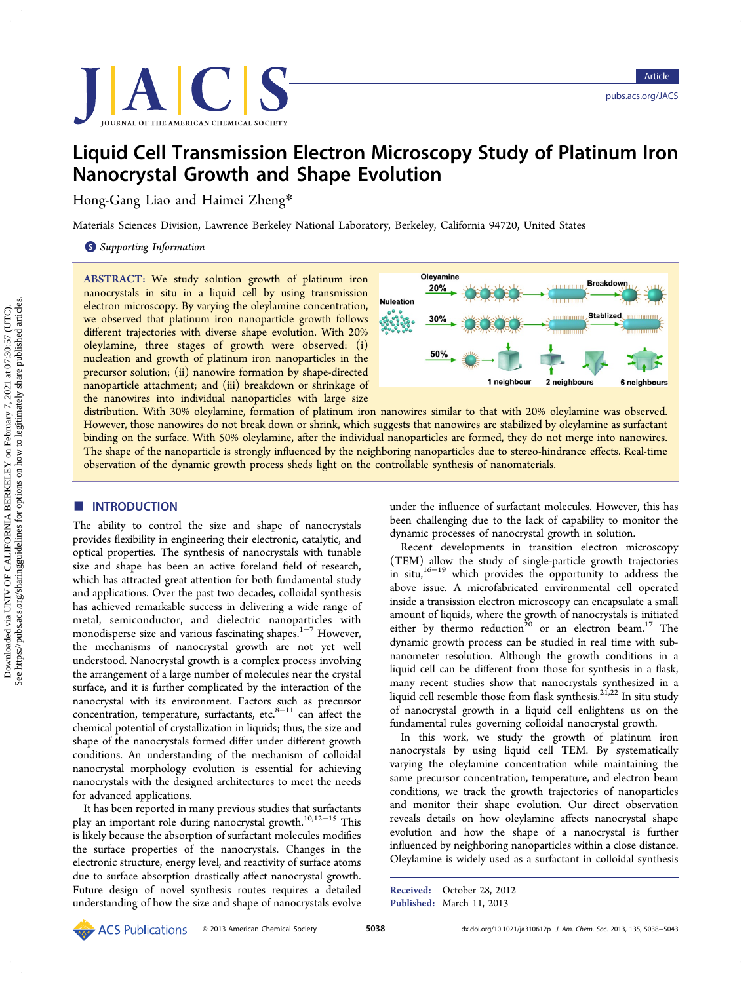



# Liquid Cell Transmission Electron Microscopy Study of Platinum Iron Nanocrystal Growth and Shape Evolution

Hong-Gang Liao and Haimei Zheng[\\*](#page-4-0)

Materials Sciences Division, Lawrence Berkeley National Laboratory, Berkeley, California 94720, United States

#### **S** [Supporting Information](#page-4-0)

ABSTRACT: We study solution growth of platinum iron nanocrystals in situ in a liquid cell by using transmission electron microscopy. By varying the oleylamine concentration, we observed that platinum iron nanoparticle growth follows different trajectories with diverse shape evolution. With 20% oleylamine, three stages of growth were observed: (i) nucleation and growth of platinum iron nanoparticles in the precursor solution; (ii) nanowire formation by shape-directed nanoparticle attachment; and (iii) breakdown or shrinkage of the nanowires into individual nanoparticles with large size



distribution. With 30% oleylamine, formation of platinum iron nanowires similar to that with 20% oleylamine was observed. However, those nanowires do not break down or shrink, which suggests that nanowires are stabilized by oleylamine as surfactant binding on the surface. With 50% oleylamine, after the individual nanoparticles are formed, they do not merge into nanowires. The shape of the nanoparticle is strongly influenced by the neighboring nanoparticles due to stereo-hindrance effects. Real-time observation of the dynamic growth process sheds light on the controllable synthesis of nanomaterials.

# **ENTRODUCTION**

The ability to control the size and shape of nanocrystals provides flexibility in engineering their electronic, catalytic, and optical properties. The synthesis of nanocrystals with tunable size and shape has been an active foreland field of research, which has attracted great attention for both fundamental study and applications. Over the past two decades, colloidal synthesis has achieved remarkable success in delivering a wide range of metal, semiconductor, and dielectric nanoparticles with monodisperse size and various fascinating shapes.<sup>[1](#page-4-0)−[7](#page-5-0)</sup> However, the mechanisms of nanocrystal growth are not yet well understood. Nanocrystal growth is a complex process involving the arrangement of a large number of molecules near the crystal surface, and it is further complicated by the interaction of the nanocrystal with its environment. Factors such as precursor concentration, temperature, surfactants, etc.<sup>[8](#page-5-0)−[11](#page-5-0)</sup> can affect the chemical potential of crystallization in liquids; thus, the size and shape of the nanocrystals formed differ under different growth conditions. An understanding of the mechanism of colloidal nanocrystal morphology evolution is essential for achieving nanocrystals with the designed architectures to meet the needs for advanced applications.

It has been reported in many previous studies that surfactants play an important role during nanocrystal growth.<sup>[10,12](#page-5-0)−[15](#page-5-0)</sup> This is likely because the absorption of surfactant molecules modifies the surface properties of the nanocrystals. Changes in the electronic structure, energy level, and reactivity of surface atoms due to surface absorption drastically affect nanocrystal growth. Future design of novel synthesis routes requires a detailed understanding of how the size and shape of nanocrystals evolve under the influence of surfactant molecules. However, this has been challenging due to the lack of capability to monitor the dynamic processes of nanocrystal growth in solution.

Recent developments in transition electron microscopy (TEM) allow the study of single-particle growth trajectories in situ,[16](#page-5-0)−[19](#page-5-0) which provides the opportunity to address the above issue. A microfabricated environmental cell operated inside a transission electron microscopy can encapsulate a small amount of liquids, where the growth of nanocrystals is initiated either by thermo reduction<sup>[20](#page-5-0)</sup> or an electron beam.<sup>[17](#page-5-0)</sup> The dynamic growth process can be studied in real time with subnanometer resolution. Although the growth conditions in a liquid cell can be different from those for synthesis in a flask, many recent studies show that nanocrystals synthesized in a liquid cell resemble those from flask synthesis.[21](#page-5-0),[22](#page-5-0) In situ study of nanocrystal growth in a liquid cell enlightens us on the fundamental rules governing colloidal nanocrystal growth.

In this work, we study the growth of platinum iron nanocrystals by using liquid cell TEM. By systematically varying the oleylamine concentration while maintaining the same precursor concentration, temperature, and electron beam conditions, we track the growth trajectories of nanoparticles and monitor their shape evolution. Our direct observation reveals details on how oleylamine affects nanocrystal shape evolution and how the shape of a nanocrystal is further influenced by neighboring nanoparticles within a close distance. Oleylamine is widely used as a surfactant in colloidal synthesis

Received: October 28, 2012 Published: March 11, 2013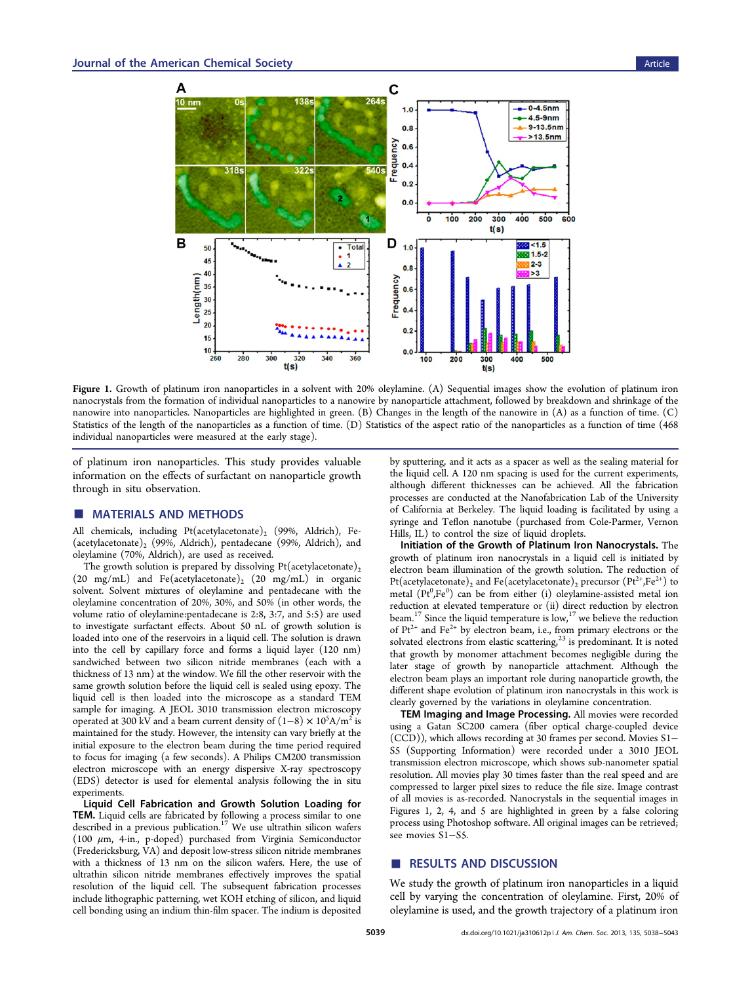<span id="page-1-0"></span>

Figure 1. Growth of platinum iron nanoparticles in a solvent with 20% oleylamine. (A) Sequential images show the evolution of platinum iron nanocrystals from the formation of individual nanoparticles to a nanowire by nanoparticle attachment, followed by breakdown and shrinkage of the nanowire into nanoparticles. Nanoparticles are highlighted in green. (B) Changes in the length of the nanowire in (A) as a function of time. (C) Statistics of the length of the nanoparticles as a function of time. (D) Statistics of the aspect ratio of the nanoparticles as a function of time (468 individual nanoparticles were measured at the early stage).

of platinum iron nanoparticles. This study provides valuable information on the effects of surfactant on nanoparticle growth through in situ observation.

#### ■ MATERIALS AND METHODS

All chemicals, including  $Pt(a$ cetylacetonate)<sub>2</sub> (99%, Aldrich), Fe-(acetylacetonate)<sub>2</sub> (99%, Aldrich), pentadecane (99%, Aldrich), and oleylamine (70%, Aldrich), are used as received.

The growth solution is prepared by dissolving  $Pt(acetylacetonate)$ <sub>2</sub> (20 mg/mL) and Fe(acetylacetonate)<sub>2</sub> (20 mg/mL) in organic solvent. Solvent mixtures of oleylamine and pentadecane with the oleylamine concentration of 20%, 30%, and 50% (in other words, the volume ratio of oleylamine:pentadecane is 2:8, 3:7, and 5:5) are used to investigate surfactant effects. About 50 nL of growth solution is loaded into one of the reservoirs in a liquid cell. The solution is drawn into the cell by capillary force and forms a liquid layer (120 nm) sandwiched between two silicon nitride membranes (each with a thickness of 13 nm) at the window. We fill the other reservoir with the same growth solution before the liquid cell is sealed using epoxy. The liquid cell is then loaded into the microscope as a standard TEM sample for imaging. A JEOL 3010 transmission electron microscopy operated at 300 kV and a beam current density of  $(1-8) \times 10^5$ A/m<sup>2</sup> is maintained for the study. However, the intensity can vary briefly at the initial exposure to the electron beam during the time period required to focus for imaging (a few seconds). A Philips CM200 transmission electron microscope with an energy dispersive X-ray spectroscopy (EDS) detector is used for elemental analysis following the in situ experiments.

Liquid Cell Fabrication and Growth Solution Loading for TEM. Liquid cells are fabricated by following a process similar to one described in a previous publication.<sup>[17](#page-5-0)</sup> We use ultrathin silicon wafers (100  $\mu$ m, 4-in., p-doped) purchased from Virginia Semiconductor (Fredericksburg, VA) and deposit low-stress silicon nitride membranes with a thickness of 13 nm on the silicon wafers. Here, the use of ultrathin silicon nitride membranes effectively improves the spatial resolution of the liquid cell. The subsequent fabrication processes include lithographic patterning, wet KOH etching of silicon, and liquid cell bonding using an indium thin-film spacer. The indium is deposited

by sputtering, and it acts as a spacer as well as the sealing material for the liquid cell. A 120 nm spacing is used for the current experiments, although different thicknesses can be achieved. All the fabrication processes are conducted at the Nanofabrication Lab of the University of California at Berkeley. The liquid loading is facilitated by using a syringe and Teflon nanotube (purchased from Cole-Parmer, Vernon Hills, IL) to control the size of liquid droplets.

Initiation of the Growth of Platinum Iron Nanocrystals. The growth of platinum iron nanocrystals in a liquid cell is initiated by electron beam illumination of the growth solution. The reduction of Pt(acetylacetonate)<sub>2</sub> and Fe(acetylacetonate)<sub>2</sub> precursor (Pt<sup>2+</sup>,Fe<sup>2+</sup>) to metal  $(Pt^{0}, Fe^{0})$  can be from either (i) oleylamine-assisted metal ion reduction at elevated temperature or (ii) direct reduction by electron beam.<sup>[17](#page-5-0)</sup> Since the liquid temperature is low,<sup>17</sup> we believe the reduction of  $Pt^{2+}$  and  $Fe^{2+}$  by electron beam, i.e., from primary electrons or the solvated electrons from elastic scattering,<sup>[23](#page-5-0)</sup> is predominant. It is noted that growth by monomer attachment becomes negligible during the later stage of growth by nanoparticle attachment. Although the electron beam plays an important role during nanoparticle growth, the different shape evolution of platinum iron nanocrystals in this work is clearly governed by the variations in oleylamine concentration.

TEM Imaging and Image Processing. All movies were recorded using a Gatan SC200 camera (fiber optical charge-coupled device (CCD)), which allows recording at 30 frames per second. [Movies S1](#page-4-0)− [S5 \(Supporting Information\)](#page-4-0) were recorded under a 3010 JEOL transmission electron microscope, which shows sub-nanometer spatial resolution. All movies play 30 times faster than the real speed and are compressed to larger pixel sizes to reduce the file size. Image contrast of all movies is as-recorded. Nanocrystals in the sequential images in Figures 1, [2,](#page-2-0) [4,](#page-3-0) and [5](#page-4-0) are highlighted in green by a false coloring process using Photoshop software. All original images can be retrieved; see [movies S1](#page-4-0)−S5.

## **RESULTS AND DISCUSSION**

We study the growth of platinum iron nanoparticles in a liquid cell by varying the concentration of oleylamine. First, 20% of oleylamine is used, and the growth trajectory of a platinum iron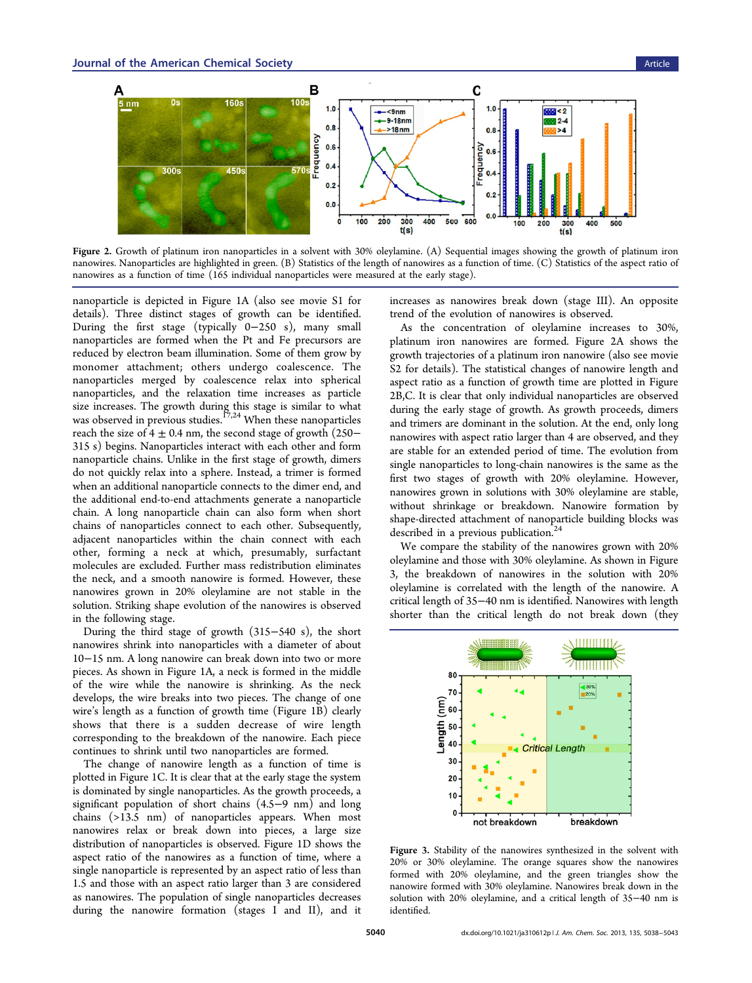<span id="page-2-0"></span>

Figure 2. Growth of platinum iron nanoparticles in a solvent with 30% oleylamine. (A) Sequential images showing the growth of platinum iron nanowires. Nanoparticles are highlighted in green. (B) Statistics of the length of nanowires as a function of time. (C) Statistics of the aspect ratio of nanowires as a function of time (165 individual nanoparticles were measured at the early stage).

nanoparticle is depicted in Figure [1](#page-1-0)A (also see [movie S1](#page-4-0) for details). Three distinct stages of growth can be identified. During the first stage (typically 0−250 s), many small nanoparticles are formed when the Pt and Fe precursors are reduced by electron beam illumination. Some of them grow by monomer attachment; others undergo coalescence. The nanoparticles merged by coalescence relax into spherical nanoparticles, and the relaxation time increases as particle size increases. The growth during this stage is similar to what was observed in previous studies.<sup>[17](#page-5-0),[24](#page-5-0)</sup> When these nanoparticles reach the size of 4  $\pm$  0.4 nm, the second stage of growth (250– 315 s) begins. Nanoparticles interact with each other and form nanoparticle chains. Unlike in the first stage of growth, dimers do not quickly relax into a sphere. Instead, a trimer is formed when an additional nanoparticle connects to the dimer end, and the additional end-to-end attachments generate a nanoparticle chain. A long nanoparticle chain can also form when short chains of nanoparticles connect to each other. Subsequently, adjacent nanoparticles within the chain connect with each other, forming a neck at which, presumably, surfactant molecules are excluded. Further mass redistribution eliminates the neck, and a smooth nanowire is formed. However, these nanowires grown in 20% oleylamine are not stable in the solution. Striking shape evolution of the nanowires is observed in the following stage.

During the third stage of growth (315−540 s), the short nanowires shrink into nanoparticles with a diameter of about 10−15 nm. A long nanowire can break down into two or more pieces. As shown in Figure [1A](#page-1-0), a neck is formed in the middle of the wire while the nanowire is shrinking. As the neck develops, the wire breaks into two pieces. The change of one wire's length as a function of growth time (Figure [1](#page-1-0)B) clearly shows that there is a sudden decrease of wire length corresponding to the breakdown of the nanowire. Each piece continues to shrink until two nanoparticles are formed.

The change of nanowire length as a function of time is plotted in Figure [1C](#page-1-0). It is clear that at the early stage the system is dominated by single nanoparticles. As the growth proceeds, a significant population of short chains (4.5−9 nm) and long chains (>13.5 nm) of nanoparticles appears. When most nanowires relax or break down into pieces, a large size distribution of nanoparticles is observed. Figure [1D](#page-1-0) shows the aspect ratio of the nanowires as a function of time, where a single nanoparticle is represented by an aspect ratio of less than 1.5 and those with an aspect ratio larger than 3 are considered as nanowires. The population of single nanoparticles decreases during the nanowire formation (stages I and II), and it

increases as nanowires break down (stage III). An opposite trend of the evolution of nanowires is observed.

As the concentration of oleylamine increases to 30%, platinum iron nanowires are formed. Figure 2A shows the growth trajectories of a platinum iron nanowire (also see [movie](#page-4-0) [S2](#page-4-0) for details). The statistical changes of nanowire length and aspect ratio as a function of growth time are plotted in Figure 2B,C. It is clear that only individual nanoparticles are observed during the early stage of growth. As growth proceeds, dimers and trimers are dominant in the solution. At the end, only long nanowires with aspect ratio larger than 4 are observed, and they are stable for an extended period of time. The evolution from single nanoparticles to long-chain nanowires is the same as the first two stages of growth with 20% oleylamine. However, nanowires grown in solutions with 30% oleylamine are stable, without shrinkage or breakdown. Nanowire formation by shape-directed attachment of nanoparticle building blocks was described in a previous publication.<sup>[24](#page-5-0)</sup>

We compare the stability of the nanowires grown with 20% oleylamine and those with 30% oleylamine. As shown in Figure 3, the breakdown of nanowires in the solution with 20% oleylamine is correlated with the length of the nanowire. A critical length of 35−40 nm is identified. Nanowires with length shorter than the critical length do not break down (they



Figure 3. Stability of the nanowires synthesized in the solvent with 20% or 30% oleylamine. The orange squares show the nanowires formed with 20% oleylamine, and the green triangles show the nanowire formed with 30% oleylamine. Nanowires break down in the solution with 20% oleylamine, and a critical length of 35−40 nm is identified.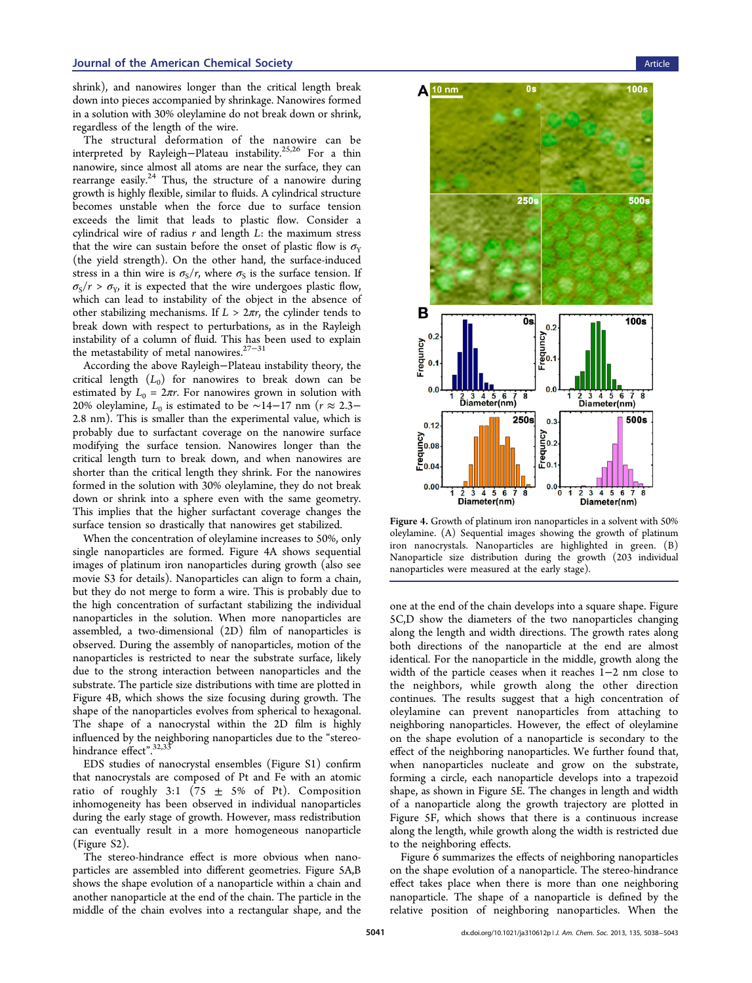<span id="page-3-0"></span>shrink), and nanowires longer than the critical length break down into pieces accompanied by shrinkage. Nanowires formed in a solution with 30% oleylamine do not break down or shrink, regardless of the length of the wire.

The structural deformation of the nanowire can be interpreted by Rayleigh−Plateau instability.[25](#page-5-0),[26](#page-5-0) For a thin nanowire, since almost all atoms are near the surface, they can rearrange easily. $24$  Thus, the structure of a nanowire during growth is highly flexible, similar to fluids. A cylindrical structure becomes unstable when the force due to surface tension exceeds the limit that leads to plastic flow. Consider a cylindrical wire of radius  $r$  and length  $L$ : the maximum stress that the wire can sustain before the onset of plastic flow is  $\sigma_Y$ (the yield strength). On the other hand, the surface-induced stress in a thin wire is  $\sigma_{\rm S}/r$ , where  $\sigma_{\rm S}$  is the surface tension. If  $\sigma_{\rm S}/r > \sigma_{\rm Y}$ , it is expected that the wire undergoes plastic flow, which can lead to instability of the object in the absence of other stabilizing mechanisms. If  $L > 2\pi r$ , the cylinder tends to break down with respect to perturbations, as in the Rayleigh instability of a column of fluid. This has been used to explain the metastability of metal nanowires.[27](#page-5-0)−[31](#page-5-0)

According the above Rayleigh−Plateau instability theory, the critical length  $(L_0)$  for nanowires to break down can be estimated by  $L_0 = 2\pi r$ . For nanowires grown in solution with 20% oleylamine,  $L_0$  is estimated to be ~14−17 nm ( $r \approx 2.3$ − 2.8 nm). This is smaller than the experimental value, which is probably due to surfactant coverage on the nanowire surface modifying the surface tension. Nanowires longer than the critical length turn to break down, and when nanowires are shorter than the critical length they shrink. For the nanowires formed in the solution with 30% oleylamine, they do not break down or shrink into a sphere even with the same geometry. This implies that the higher surfactant coverage changes the surface tension so drastically that nanowires get stabilized.

When the concentration of oleylamine increases to 50%, only single nanoparticles are formed. Figure 4A shows sequential images of platinum iron nanoparticles during growth (also see [movie S3](#page-4-0) for details). Nanoparticles can align to form a chain, but they do not merge to form a wire. This is probably due to the high concentration of surfactant stabilizing the individual nanoparticles in the solution. When more nanoparticles are assembled, a two-dimensional (2D) film of nanoparticles is observed. During the assembly of nanoparticles, motion of the nanoparticles is restricted to near the substrate surface, likely due to the strong interaction between nanoparticles and the substrate. The particle size distributions with time are plotted in Figure 4B, which shows the size focusing during growth. The shape of the nanoparticles evolves from spherical to hexagonal. The shape of a nanocrystal within the 2D film is highly influenced by the neighboring nanoparticles due to the "stereo-hindrance effect".<sup>[32,33](#page-5-0)</sup>

EDS studies of nanocrystal ensembles ([Figure S1](#page-4-0)) confirm that nanocrystals are composed of Pt and Fe with an atomic ratio of roughly 3:1 (75  $\pm$  5% of Pt). Composition inhomogeneity has been observed in individual nanoparticles during the early stage of growth. However, mass redistribution can eventually result in a more homogeneous nanoparticle [\(Figure S2](#page-4-0)).

The stereo-hindrance effect is more obvious when nanoparticles are assembled into different geometries. Figure [5A](#page-4-0),B shows the shape evolution of a nanoparticle within a chain and another nanoparticle at the end of the chain. The particle in the middle of the chain evolves into a rectangular shape, and the



Figure 4. Growth of platinum iron nanoparticles in a solvent with 50% oleylamine. (A) Sequential images showing the growth of platinum iron nanocrystals. Nanoparticles are highlighted in green. (B) Nanoparticle size distribution during the growth (203 individual nanoparticles were measured at the early stage).

one at the end of the chain develops into a square shape. Figure [5](#page-4-0)C,D show the diameters of the two nanoparticles changing along the length and width directions. The growth rates along both directions of the nanoparticle at the end are almost identical. For the nanoparticle in the middle, growth along the width of the particle ceases when it reaches 1−2 nm close to the neighbors, while growth along the other direction continues. The results suggest that a high concentration of oleylamine can prevent nanoparticles from attaching to neighboring nanoparticles. However, the effect of oleylamine on the shape evolution of a nanoparticle is secondary to the effect of the neighboring nanoparticles. We further found that, when nanoparticles nucleate and grow on the substrate, forming a circle, each nanoparticle develops into a trapezoid shape, as shown in Figure [5](#page-4-0)E. The changes in length and width of a nanoparticle along the growth trajectory are plotted in Figure [5](#page-4-0)F, which shows that there is a continuous increase along the length, while growth along the width is restricted due to the neighboring effects.

Figure [6](#page-4-0) summarizes the effects of neighboring nanoparticles on the shape evolution of a nanoparticle. The stereo-hindrance effect takes place when there is more than one neighboring nanoparticle. The shape of a nanoparticle is defined by the relative position of neighboring nanoparticles. When the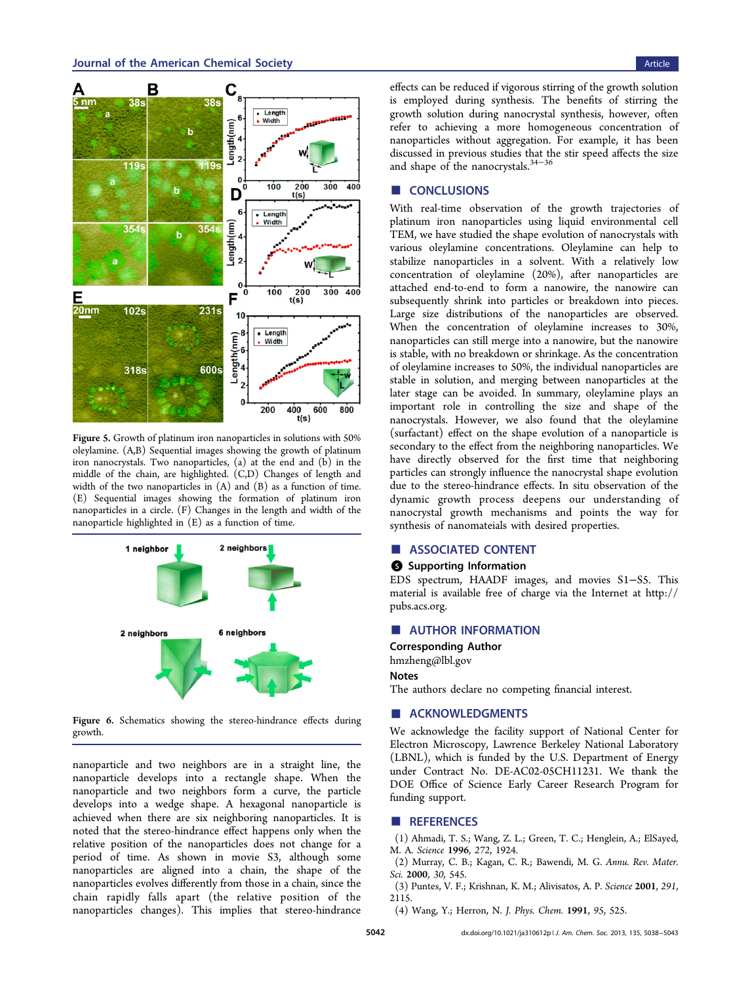<span id="page-4-0"></span>

Figure 5. Growth of platinum iron nanoparticles in solutions with 50% oleylamine. (A,B) Sequential images showing the growth of platinum iron nanocrystals. Two nanoparticles, (a) at the end and (b) in the middle of the chain, are highlighted. (C,D) Changes of length and width of the two nanoparticles in (A) and (B) as a function of time. (E) Sequential images showing the formation of platinum iron nanoparticles in a circle. (F) Changes in the length and width of the nanoparticle highlighted in (E) as a function of time.



Figure 6. Schematics showing the stereo-hindrance effects during growth.

nanoparticle and two neighbors are in a straight line, the nanoparticle develops into a rectangle shape. When the nanoparticle and two neighbors form a curve, the particle develops into a wedge shape. A hexagonal nanoparticle is achieved when there are six neighboring nanoparticles. It is noted that the stereo-hindrance effect happens only when the relative position of the nanoparticles does not change for a period of time. As shown in movie S3, although some nanoparticles are aligned into a chain, the shape of the nanoparticles evolves differently from those in a chain, since the chain rapidly falls apart (the relative position of the nanoparticles changes). This implies that stereo-hindrance

effects can be reduced if vigorous stirring of the growth solution is employed during synthesis. The benefits of stirring the growth solution during nanocrystal synthesis, however, often refer to achieving a more homogeneous concentration of nanoparticles without aggregation. For example, it has been discussed in previous studies that the stir speed affects the size and shape of the nanocrystals.[34](#page-5-0)−[36](#page-5-0)

# ■ CONCLUSIONS

With real-time observation of the growth trajectories of platinum iron nanoparticles using liquid environmental cell TEM, we have studied the shape evolution of nanocrystals with various oleylamine concentrations. Oleylamine can help to stabilize nanoparticles in a solvent. With a relatively low concentration of oleylamine (20%), after nanoparticles are attached end-to-end to form a nanowire, the nanowire can subsequently shrink into particles or breakdown into pieces. Large size distributions of the nanoparticles are observed. When the concentration of oleylamine increases to 30%, nanoparticles can still merge into a nanowire, but the nanowire is stable, with no breakdown or shrinkage. As the concentration of oleylamine increases to 50%, the individual nanoparticles are stable in solution, and merging between nanoparticles at the later stage can be avoided. In summary, oleylamine plays an important role in controlling the size and shape of the nanocrystals. However, we also found that the oleylamine (surfactant) effect on the shape evolution of a nanoparticle is secondary to the effect from the neighboring nanoparticles. We have directly observed for the first time that neighboring particles can strongly influence the nanocrystal shape evolution due to the stereo-hindrance effects. In situ observation of the dynamic growth process deepens our understanding of nanocrystal growth mechanisms and points the way for synthesis of nanomateials with desired properties.

# ■ ASSOCIATED CONTENT

#### **6** Supporting Information

EDS spectrum, HAADF images, and movies S1−S5. This material is available free of charge via the Internet at [http://](http://pubs.acs.org) [pubs.acs.org](http://pubs.acs.org).

### ■ AUTHOR INFORMATION

Corresponding Author [hmzheng@lbl.gov](mailto:hmzheng@lbl.gov) Notes

The authors declare no competing financial interest.

## ■ ACKNOWLEDGMENTS

We acknowledge the facility support of National Center for Electron Microscopy, Lawrence Berkeley National Laboratory (LBNL), which is funded by the U.S. Department of Energy under Contract No. DE-AC02-05CH11231. We thank the DOE Office of Science Early Career Research Program for funding support.

#### ■ REFERENCES

(1) Ahmadi, T. S.; Wang, Z. L.; Green, T. C.; Henglein, A.; ElSayed, M. A. Science 1996, 272, 1924.

- (2) Murray, C. B.; Kagan, C. R.; Bawendi, M. G. Annu. Rev. Mater. Sci. 2000, 30, 545.
- (3) Puntes, V. F.; Krishnan, K. M.; Alivisatos, A. P. Science 2001, 291, 2115.
- (4) Wang, Y.; Herron, N. J. Phys. Chem. 1991, 95, 525.